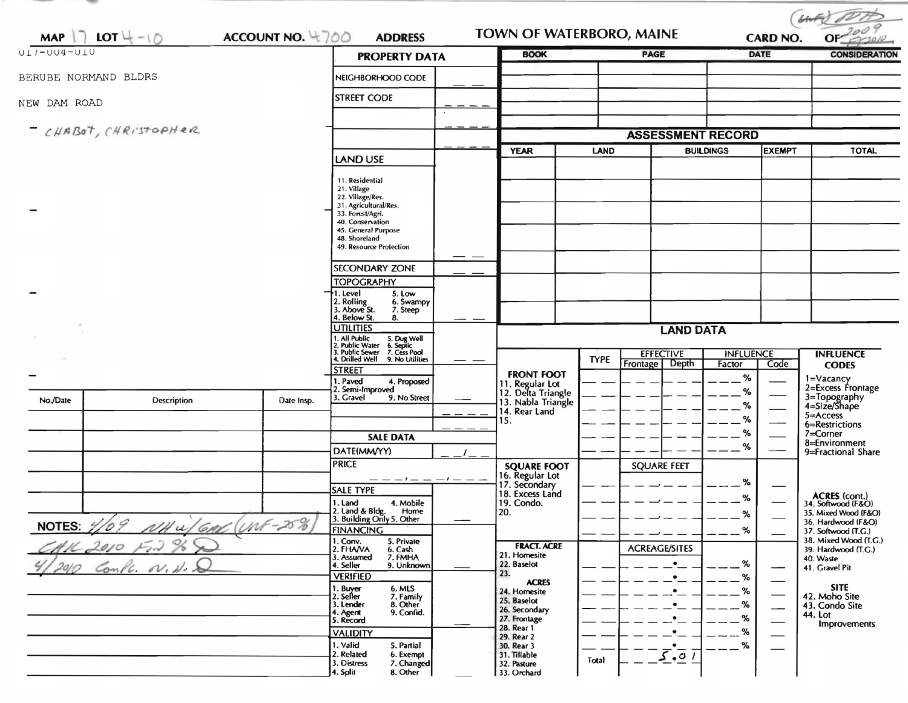| MAP $\vert \bar{\ } \vert$ LOT $\vert \bar{\ } - \vert \bar{\ } \vert$<br>ACCOUNT NO. 4700<br>$ULI-UU4-ULU$ |                       |                                                                                                                          | <b>ADDRESS</b>                                       |                  | TOWN OF WATERBORO, MAINE                                    |                  |                      | <b>CARD NO.</b>  |               |                                              |
|-------------------------------------------------------------------------------------------------------------|-----------------------|--------------------------------------------------------------------------------------------------------------------------|------------------------------------------------------|------------------|-------------------------------------------------------------|------------------|----------------------|------------------|---------------|----------------------------------------------|
|                                                                                                             |                       |                                                                                                                          | <b>PROPERTY DATA</b>                                 |                  | <b>BOOK</b>                                                 |                  | <b>PAGE</b>          | <b>DATE</b>      |               | <b>CONSIDERATION</b>                         |
| BERUBE NORMAND BLDRS                                                                                        |                       | NEIGHBORHOOD CODE                                                                                                        |                                                      |                  |                                                             |                  |                      |                  |               |                                              |
| NEW DAM ROAD                                                                                                |                       |                                                                                                                          | <b>STREET CODE</b>                                   |                  |                                                             |                  |                      |                  |               |                                              |
|                                                                                                             | - CHABOT, CHRISTOPHER |                                                                                                                          | <b>ASSESSMENT RECORD</b>                             |                  |                                                             |                  |                      |                  |               |                                              |
|                                                                                                             |                       |                                                                                                                          |                                                      |                  | <b>YEAR</b>                                                 | <b>LAND</b>      |                      | <b>BUILDINGS</b> | <b>EXEMPT</b> | <b>TOTAL</b>                                 |
|                                                                                                             |                       |                                                                                                                          | LAND USE                                             |                  |                                                             |                  |                      |                  |               |                                              |
|                                                                                                             |                       |                                                                                                                          | 11. Residential                                      |                  |                                                             |                  |                      |                  |               |                                              |
|                                                                                                             |                       |                                                                                                                          | 21. Village<br>22. Village/Res.                      |                  |                                                             |                  |                      |                  |               |                                              |
|                                                                                                             |                       |                                                                                                                          | 31. Agricultural/Res.<br>33. Forest/Agri.            |                  |                                                             |                  |                      |                  |               |                                              |
|                                                                                                             |                       |                                                                                                                          | 40. Conservation<br>45. General Purpose              |                  |                                                             |                  |                      |                  |               |                                              |
|                                                                                                             |                       |                                                                                                                          | 48. Shoreland<br>49. Resource Protection             |                  |                                                             |                  |                      |                  |               |                                              |
|                                                                                                             |                       |                                                                                                                          |                                                      |                  |                                                             |                  |                      |                  |               |                                              |
|                                                                                                             |                       |                                                                                                                          | <b>SECONDARY ZONE</b>                                |                  |                                                             |                  |                      |                  |               |                                              |
|                                                                                                             |                       |                                                                                                                          | <b>TOPOGRAPHY</b><br>5. Low<br>1. Level              |                  |                                                             |                  |                      |                  |               |                                              |
|                                                                                                             |                       |                                                                                                                          | 2. Rolling<br>3. Above St.<br>6. Swampy              |                  |                                                             |                  |                      |                  |               |                                              |
|                                                                                                             |                       |                                                                                                                          | 7. Steep<br>4. Below St.<br>8.                       |                  |                                                             |                  |                      |                  |               |                                              |
|                                                                                                             |                       |                                                                                                                          | <b>UTILITIES</b>                                     | <b>LAND DATA</b> |                                                             |                  |                      |                  |               |                                              |
|                                                                                                             |                       | 1. All Public 5. Dug Well<br>2. Public Water 6. Septic<br>3. Public Sewer 7. Cess Pool<br>4. Drilled Well 9. No Utilitie |                                                      |                  | <b>EFFECTIVE</b>                                            | <b>INFLUENCE</b> |                      | <b>INFLUENCE</b> |               |                                              |
|                                                                                                             |                       |                                                                                                                          | 9. No Utilities<br><b>STREET</b>                     |                  |                                                             | <b>TYPE</b>      | Frontage<br>Depth    | Factor           | Code          | <b>CODES</b>                                 |
|                                                                                                             |                       |                                                                                                                          | 1. Paved<br>4. Proposed                              |                  | <b>FRONT FOOT</b>                                           |                  |                      | %                |               | 1=Vacancy<br>2=Excess Frontage               |
| No./Date                                                                                                    | <b>Description</b>    | Date Insp.                                                                                                               | 2. Semi-Improved<br>3. Gravel<br>9. No Street        |                  | 11. Regular Lot<br>12. Delta Triangle<br>13. Nabla Triangle |                  |                      | %                |               | 3=Topography<br>4=Size/Shape                 |
|                                                                                                             |                       |                                                                                                                          |                                                      |                  | 14. Rear Land                                               |                  |                      | %                |               | $5 =$ Access                                 |
|                                                                                                             |                       |                                                                                                                          |                                                      |                  | 15.                                                         |                  |                      | %<br>%           |               | 6=Restrictions<br>7=Corner                   |
|                                                                                                             |                       |                                                                                                                          | <b>SALE DATA</b>                                     |                  |                                                             |                  |                      | %                |               | 8=Environment                                |
|                                                                                                             |                       |                                                                                                                          | DATE(MM/YY)<br><b>PRICE</b>                          |                  |                                                             |                  | <b>SQUARE FEET</b>   |                  |               | 9=Fractional Share                           |
|                                                                                                             |                       |                                                                                                                          |                                                      | $1-1-1$          | <b>SQUARE FOOT</b><br>16. Regular Lot                       |                  |                      |                  |               |                                              |
|                                                                                                             |                       |                                                                                                                          | <b>SALE TYPE</b>                                     |                  | 17. Secondary<br>18. Excess Land                            |                  |                      | %                |               | <b>ACRES</b> (cont.)                         |
|                                                                                                             |                       |                                                                                                                          | 4. Mobile<br>1. Land<br>Home                         |                  | 19. Condo.<br>20.                                           |                  |                      | %                |               | 34. Softwood (F&O)<br>35. Mixed Wood (F&O)   |
| <b>NOTES:</b>                                                                                               | $\sqrt{2}$<br>10      |                                                                                                                          | 2. Land & Bldg. Home<br>3. Building Only 5. Other    |                  |                                                             |                  |                      | %                |               | 36. Hardwood (F&O)                           |
| NH u/ GAR (UNF-25%)                                                                                         |                       |                                                                                                                          | <b>FINANCING</b><br>1. Conv.<br>5. Private           |                  |                                                             |                  |                      | $-$ %            |               | 37. Softwood (T.G.)<br>38. Mixed Wood (T.G.) |
| $F_1$ %<br>K 2010                                                                                           |                       |                                                                                                                          | 2. FHAVA<br>6. Cash<br>7. FMHA<br>3. Assumed         |                  | <b>FRACT. ACRE</b><br>21. Homesite                          |                  | <b>ACREAGE/SITES</b> |                  |               | 39. Hardwood (T.G.)<br>40. Waste             |
| 20/O<br>Conte. N.H.                                                                                         |                       |                                                                                                                          | 4. Seller<br>9. Unknown                              |                  | 22. Baselot<br>23.                                          |                  |                      | %                |               | 41. Gravel Pit                               |
|                                                                                                             |                       |                                                                                                                          | <b>VERIFIED</b><br>1. Buyer<br>6. MLS                |                  | <b>ACRES</b>                                                |                  |                      | %                |               | <b>SITE</b>                                  |
|                                                                                                             |                       |                                                                                                                          | 2. Seller<br>7. Family<br>3. Lender<br>8. Other      |                  | 24. Homesite<br>25. Baselot                                 |                  |                      | %<br>%           |               | 42. Moho Site<br>43. Condo Site              |
|                                                                                                             |                       |                                                                                                                          | 9. Confid.<br>4. Agent<br>5. Record                  |                  | 26. Secondary<br>27. Frontage                               |                  |                      | %                | -             | 44. Lot                                      |
|                                                                                                             |                       |                                                                                                                          | <b>VALIDITY</b>                                      |                  | 28. Rear 1<br>29. Rear 2                                    |                  |                      | %                |               | Improvements                                 |
|                                                                                                             |                       |                                                                                                                          | 1. Valid<br>5. Partial                               |                  | 30. Rear 3                                                  |                  |                      | %                |               |                                              |
|                                                                                                             |                       |                                                                                                                          | 2. Related<br>6. Exempt<br>3. Distress<br>7. Changed |                  | 31. Tillable<br>32. Pasture                                 | Total            | 5.01                 |                  |               |                                              |
|                                                                                                             |                       |                                                                                                                          | 8. Other<br>4. Split                                 |                  | 33. Orchard                                                 |                  |                      |                  |               |                                              |

- 1980